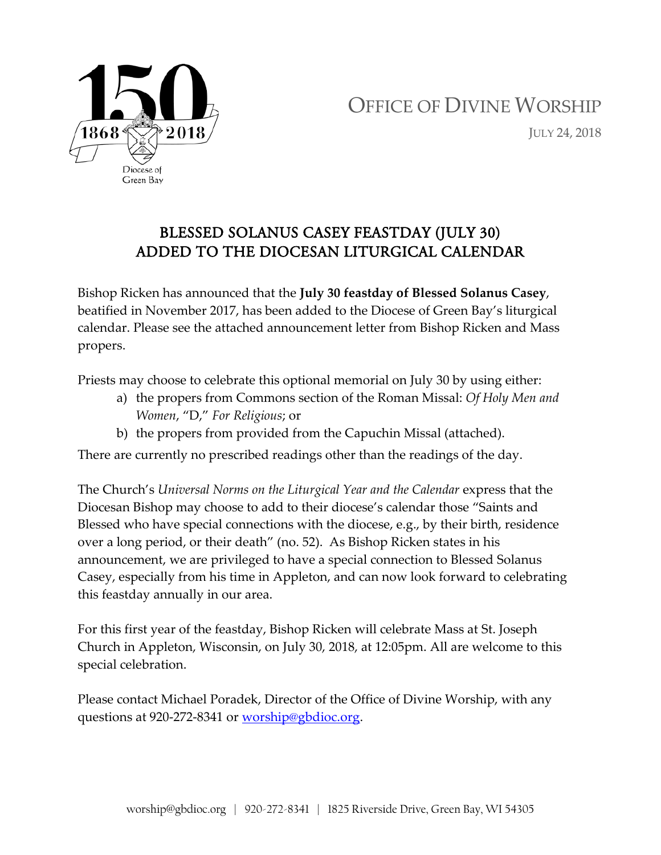

## OFFICE OF DIVINE WORSHIP JULY 24, 2018

## BLESSED SOLANUS CASEY FEASTDAY (JULY 30) ADDED TO THE DIOCESAN LITURGICAL CALENDAR

Bishop Ricken has announced that the **July 30 feastday of Blessed Solanus Casey**, beatified in November 2017, has been added to the Diocese of Green Bay's liturgical calendar. Please see the attached announcement letter from Bishop Ricken and Mass propers.

Priests may choose to celebrate this optional memorial on July 30 by using either:

- a) the propers from Commons section of the Roman Missal: *Of Holy Men and Women*, "D," *For Religious*; or
- b) the propers from provided from the Capuchin Missal (attached).

There are currently no prescribed readings other than the readings of the day.

The Church's *Universal Norms on the Liturgical Year and the Calendar* express that the Diocesan Bishop may choose to add to their diocese's calendar those "Saints and Blessed who have special connections with the diocese, e.g., by their birth, residence over a long period, or their death" (no. 52). As Bishop Ricken states in his announcement, we are privileged to have a special connection to Blessed Solanus Casey, especially from his time in Appleton, and can now look forward to celebrating this feastday annually in our area.

For this first year of the feastday, Bishop Ricken will celebrate Mass at St. Joseph Church in Appleton, Wisconsin, on July 30, 2018, at 12:05pm. All are welcome to this special celebration.

Please contact Michael Poradek, Director of the Office of Divine Worship, with any questions at 920-272-8341 or [worship@gbdioc.org.](mailto:worship@gbdioc.org)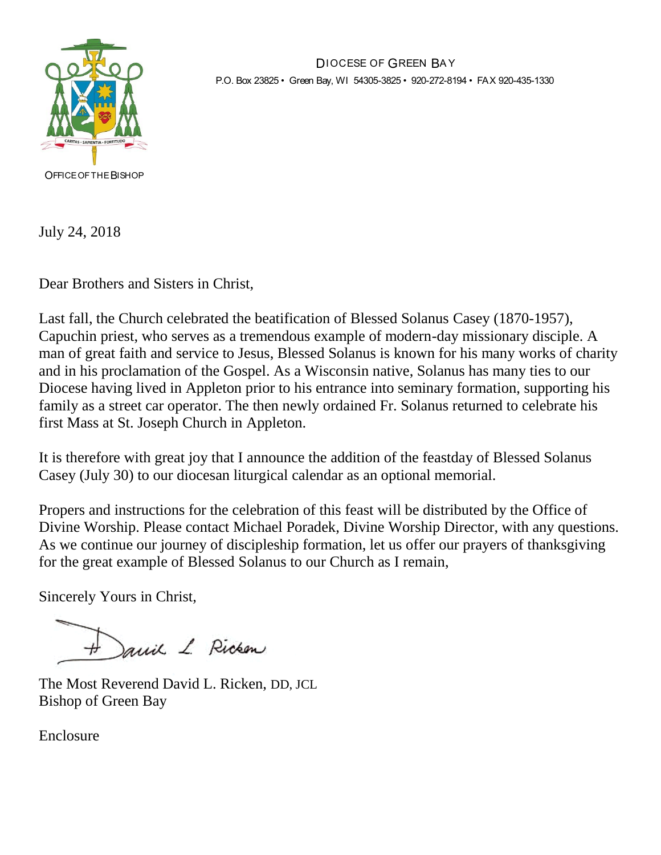

DIOCESE OF GREEN BA Y P.O. Box 23825 • Green Bay, WI 54305-3825 • 920-272-8194 • FAX 920-435-1330

OFFICE OF THE BISHOP

July 24, 2018

Dear Brothers and Sisters in Christ,

Last fall, the Church celebrated the beatification of Blessed Solanus Casey (1870-1957), Capuchin priest, who serves as a tremendous example of modern-day missionary disciple. A man of great faith and service to Jesus, Blessed Solanus is known for his many works of charity and in his proclamation of the Gospel. As a Wisconsin native, Solanus has many ties to our Diocese having lived in Appleton prior to his entrance into seminary formation, supporting his family as a street car operator. The then newly ordained Fr. Solanus returned to celebrate his first Mass at St. Joseph Church in Appleton.

It is therefore with great joy that I announce the addition of the feastday of Blessed Solanus Casey (July 30) to our diocesan liturgical calendar as an optional memorial.

Propers and instructions for the celebration of this feast will be distributed by the Office of Divine Worship. Please contact Michael Poradek, Divine Worship Director, with any questions. As we continue our journey of discipleship formation, let us offer our prayers of thanksgiving for the great example of Blessed Solanus to our Church as I remain,

Sincerely Yours in Christ,

H Jamil L. Ricken

The Most Reverend David L. Ricken, DD, JCL Bishop of Green Bay

Enclosure